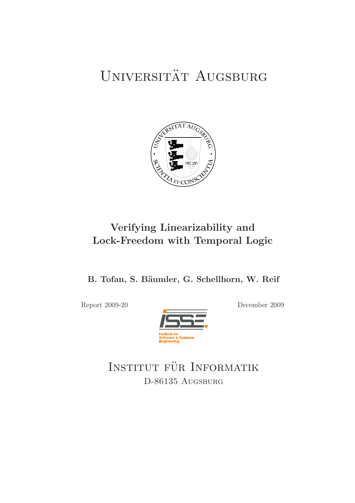# UNIVERSITÄT AUGSBURG



## Verifying Linearizability and Lock-Freedom with Temporal Logic

B. Tofan, S. Bäumler, G. Schellhorn, W. Reif

Report 2009-20 December 2009



INSTITUT FÜR INFORMATIK D-86135 AUGSBURG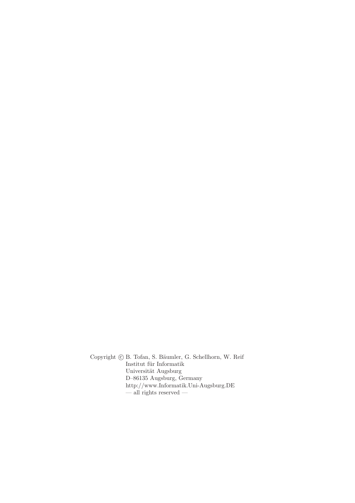Copyright  $\odot$  B. Tofan, S. Bäumler, G. Schellhorn, W. Reif Institut für Informatik Universität Augsburg D–86135 Augsburg, Germany http://www.Informatik.Uni-Augsburg.DE — all rights reserved —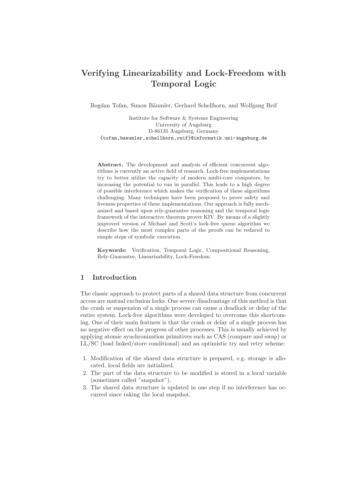### Verifying Linearizability and Lock-Freedom with Temporal Logic

Bogdan Tofan, Simon Bäumler, Gerhard Schellhorn, and Wolfgang Reif

Institute for Software & Systems Engineering University of Augsburg D-86135 Augsburg, Germany {tofan,baeumler,schellhorn,reif}@informatik.uni-augsburg.de

Abstract. The development and analysis of efficient concurrent algorithms is currently an active field of research. Lock-free implementations try to better utilize the capacity of modern multi-core computers, by increasing the potential to run in parallel. This leads to a high degree of possible interference which makes the verification of these algorithms challenging. Many techniques have been proposed to prove safety and liveness properties of these implementations. Our approach is fully mechanized and based upon rely-guarantee reasoning and the temporal logic framework of the interactive theorem prover KIV. By means of a slightly improved version of Michael and Scott's lock-free queue algorithm we describe how the most complex parts of the proofs can be reduced to simple steps of symbolic execution.

Keywords: Verification, Temporal Logic, Compositional Reasoning, Rely-Guarantee, Linearizability, Lock-Freedom

#### 1 Introduction

The classic approach to protect parts of a shared data structure from concurrent access are mutual exclusion locks. One severe disadvantage of this method is that the crash or suspension of a single process can cause a deadlock or delay of the entire system. Lock-free algorithms were developed to overcome this shortcoming. One of their main features is that the crash or delay of a single process has no negative effect on the progress of other processes. This is usually achieved by applying atomic synchronization primitives such as CAS (compare and swap) or LL/SC (load linked/store conditional) and an optimistic try and retry scheme:

- 1. Modification of the shared data structure is prepared, e.g. storage is allocated, local fields are initialized.
- 2. The part of the data structure to be modified is stored in a local variable (sometimes called "snapshot").
- 3. The shared data structure is updated in one step if no interference has occurred since taking the local snapshot.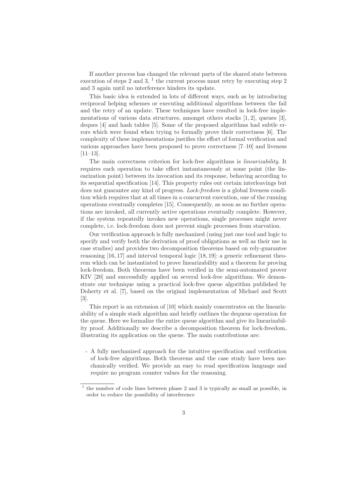If another process has changed the relevant parts of the shared state between execution of steps 2 and 3,  $1$  the current process must retry by executing step 2 and 3 again until no interference hinders its update.

This basic idea is extended in lots of different ways, such as by introducing reciprocal helping schemes or executing additional algorithms between the fail and the retry of an update. These techniques have resulted in lock-free implementations of various data structures, amongst others stacks [1, 2], queues [3], deques [4] and hash tables [5]. Some of the proposed algorithms had subtle errors which were found when trying to formally prove their correctness [6]. The complexity of these implementations justifies the effort of formal verification and various approaches have been proposed to prove correctness [7–10] and liveness [11–13].

The main correctness criterion for lock-free algorithms is linearizability. It requires each operation to take effect instantaneously at some point (the linearization point) between its invocation and its response, behaving according to its sequential specification [14]. This property rules out certain interleavings but does not guarantee any kind of progress. Lock-freedom is a global liveness condition which requires that at all times in a concurrent execution, one of the running operations eventually completes [15]. Consequently, as soon as no further operations are invoked, all currently active operations eventually complete. However, if the system repeatedly invokes new operations, single processes might never complete, i.e. lock-freedom does not prevent single processes from starvation.

Our verification approach is fully mechanized (using just one tool and logic to specify and verify both the derivation of proof obligations as well as their use in case studies) and provides two decomposition theorems based on rely-guarantee reasoning [16, 17] and interval temporal logic [18, 19]: a generic refinement theorem which can be instantiated to prove linearizability and a theorem for proving lock-freedom. Both theorems have been verified in the semi-automated prover KIV [20] and successfully applied on several lock-free algorithms. We demonstrate our technique using a practical lock-free queue algorithm published by Doherty et al. [7], based on the original implementation of Michael and Scott [3].

This report is an extension of [10] which mainly concentrates on the linearizability of a simple stack algorithm and briefly outlines the dequeue operation for the queue. Here we formalize the entire queue algorithm and give its linearizability proof. Additionally we describe a decomposition theorem for lock-freedom, illustrating its application on the queue. The main contributions are:

- A fully mechanized approach for the intuitive specification and verification of lock-free algorithms. Both theorems and the case study have been mechanically verified. We provide an easy to read specification language and require no program counter values for the reasoning.

 $1$  the number of code lines between phase 2 and 3 is typically as small as possible, in order to reduce the possibility of interference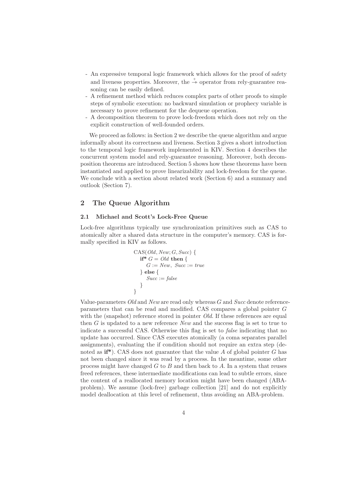- An expressive temporal logic framework which allows for the proof of safety and liveness properties. Moreover, the  $\stackrel{+}{\rightarrow}$  operator from rely-guarantee reasoning can be easily defined.
- A refinement method which reduces complex parts of other proofs to simple steps of symbolic execution: no backward simulation or prophecy variable is necessary to prove refinement for the dequeue operation.
- A decomposition theorem to prove lock-freedom which does not rely on the explicit construction of well-founded orders.

We proceed as follows: in Section 2 we describe the queue algorithm and argue informally about its correctness and liveness. Section 3 gives a short introduction to the temporal logic framework implemented in KIV. Section 4 describes the concurrent system model and rely-guarantee reasoning. Moreover, both decomposition theorems are introduced. Section 5 shows how these theorems have been instantiated and applied to prove linearizability and lock-freedom for the queue. We conclude with a section about related work (Section 6) and a summary and outlook (Section 7).

#### 2 The Queue Algorithm

#### 2.1 Michael and Scott's Lock-Free Queue

Lock-free algorithms typically use synchronization primitives such as CAS to atomically alter a shared data structure in the computer's memory. CAS is formally specified in KIV as follows.

$$
CAS(Old, New; G, Succ) {\n if * G = Old then {\n G := New, Succ := true\n } else {\n Succ := false\n }\n}
$$

Value-parameters Old and New are read only whereas G and Succ denote referenceparameters that can be read and modified. CAS compares a global pointer G with the (snapshot) reference stored in pointer *Old*. If these references are equal then  $G$  is updated to a new reference New and the success flag is set to true to indicate a successful CAS. Otherwise this flag is set to *false* indicating that no update has occurred. Since CAS executes atomically (a coma separates parallel assignments), evaluating the if condition should not require an extra step (denoted as  $\mathbf{if}^*$ ). CAS does not guarantee that the value A of global pointer G has not been changed since it was read by a process. In the meantime, some other process might have changed  $G$  to  $B$  and then back to  $A$ . In a system that reuses freed references, these intermediate modifications can lead to subtle errors, since the content of a reallocated memory location might have been changed (ABAproblem). We assume (lock-free) garbage collection [21] and do not explicitly model deallocation at this level of refinement, thus avoiding an ABA-problem.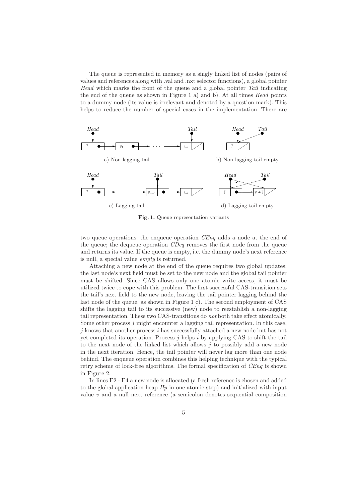The queue is represented in memory as a singly linked list of nodes (pairs of values and references along with .val and .nxt selector functions), a global pointer Head which marks the front of the queue and a global pointer Tail indicating the end of the queue as shown in Figure 1 a) and b). At all times  $Head$  points to a dummy node (its value is irrelevant and denoted by a question mark). This helps to reduce the number of special cases in the implementation. There are



Fig. 1. Queue representation variants

two queue operations: the enqueue operation CEnq adds a node at the end of the queue; the dequeue operation CDeq removes the first node from the queue and returns its value. If the queue is empty, i.e. the dummy node's next reference is null, a special value empty is returned.

Attaching a new node at the end of the queue requires two global updates: the last node's next field must be set to the new node and the global tail pointer must be shifted. Since CAS allows only one atomic write access, it must be utilized twice to cope with this problem. The first successful CAS-transition sets the tail's next field to the new node, leaving the tail pointer lagging behind the last node of the queue, as shown in Figure 1 c). The second employment of CAS shifts the lagging tail to its successive (new) node to reestablish a non-lagging tail representation. These two CAS-transitions do not both take effect atomically. Some other process  $j$  might encounter a lagging tail representation. In this case,  $i$  knows that another process i has successfully attached a new node but has not yet completed its operation. Process  $j$  helps  $i$  by applying CAS to shift the tail to the next node of the linked list which allows  $j$  to possibly add a new node in the next iteration. Hence, the tail pointer will never lag more than one node behind. The enqueue operation combines this helping technique with the typical retry scheme of lock-free algorithms. The formal specification of CEnq is shown in Figure 2.

In lines E2 - E4 a new node is allocated (a fresh reference is chosen and added to the global application heap  $Hp$  in one atomic step) and initialized with input value  $v$  and a null next reference (a semicolon denotes sequential composition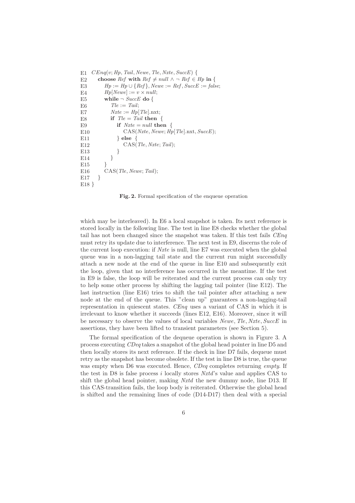```
E1
E2
E3
E.4E5
E6
E7
E8
E9
E10
E11
E12
E13
E14E15
E16
E17
E18
}
    CEnq(v; Hp, Tail, Newe, The, Nxte, SuccE) {
       choose Ref with Ref \neq null \land \neg Ref \in Hp in {
          Hp := Hp \cup \{Ref\}, New := Ref, SuccE := false;Hp[Newe] := v \times null;while \neg SuccE do {
             Tle := Tail:Nxte := Hp[Te].nxt;if Tle = Tail then {
               if Nxte = null then {
                  CAS(Nxte, Newe; Hp[Tele].nxt, SuccE);} else {
                  CAS(Tle, Nxte; Tail);
               }
            }
          }
          CAS(Tle, Newe; Tail);
       }
```
Fig. 2. Formal specification of the enqueue operation

which may be interleaved). In E6 a local snapshot is taken. Its next reference is stored locally in the following line. The test in line E8 checks whether the global tail has not been changed since the snapshot was taken. If this test fails *CEnq* must retry its update due to interference. The next test in E9, discerns the role of the current loop execution: if Nxte is null, line E7 was executed when the global queue was in a non-lagging tail state and the current run might successfully attach a new node at the end of the queue in line E10 and subsequently exit the loop, given that no interference has occurred in the meantime. If the test in E9 is false, the loop will be reiterated and the current process can only try to help some other process by shifting the lagging tail pointer (line E12). The last instruction (line E16) tries to shift the tail pointer after attaching a new node at the end of the queue. This "clean up" guarantees a non-lagging-tail representation in quiescent states. CEnq uses a variant of CAS in which it is irrelevant to know whether it succeeds (lines E12, E16). Moreover, since it will be necessary to observe the values of local variables Newe, Tle, Nxte, SuccE in assertions, they have been lifted to transient parameters (see Section 5).

The formal specification of the dequeue operation is shown in Figure 3. A process executing CDeq takes a snapshot of the global head pointer in line D5 and then locally stores its next reference. If the check in line D7 fails, dequeue must retry as the snapshot has become obsolete. If the test in line D8 is true, the queue was empty when D6 was executed. Hence, CDeq completes returning empty. If the test in D8 is false process i locally stores Nxtd's value and applies CAS to shift the global head pointer, making  $Nxtd$  the new dummy node, line D13. If this CAS-transition fails, the loop body is reiterated. Otherwise the global head is shifted and the remaining lines of code (D14-D17) then deal with a special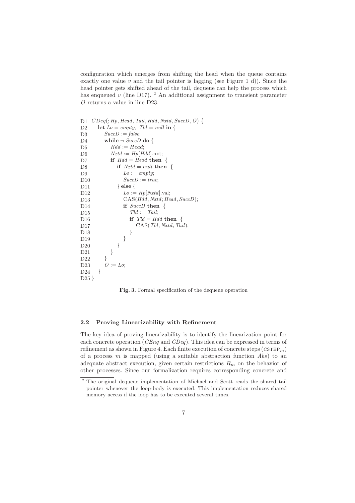configuration which emerges from shifting the head when the queue contains exactly one value  $v$  and the tail pointer is lagging (see Figure 1 d)). Since the head pointer gets shifted ahead of the tail, dequeue can help the process which has enqueued  $v$  (line D17). <sup>2</sup> An additional assignment to transient parameter O returns a value in line D23.

```
D1 CDeq; Hp, Head, Tail, Hdd, Nxtd, SuccD, O) {
D<sub>2</sub>
D3
D<sub>4</sub>
D<sub>5</sub>
D6
D<sub>7</sub>
D<sub>8</sub>
D<sub>9</sub>
D10
D11
D<sub>12</sub>
D13
D14
D15
D16
D<sub>17</sub>
D18
D<sub>19</sub>
D20
D21
D22
D23
D24
D25
}
        let Lo = empty, Tld = null in {
           SuccD := false;while \neg SuccD do {
              Hdd := Head;Nxtd := Hp[Hdd].nxt;
              if Hdd = Head then {
                 if Nxtd = null then {
                    Lo := empty;SuccD := true;} else {
                    Lo := Hp[Nxtd].val;CAS(Hdd, Nxtd; Head, SuccD);
                    if SuccD then {
                       Tld := Tail;if Tld = Hdd then {
                          CAS(Tld, Nxtd; Tail);
                       }
                    }
                 }
              }
           }
           O := Lo;}
```
Fig. 3. Formal specification of the dequeue operation

#### 2.2 Proving Linearizability with Refinement

The key idea of proving linearizability is to identify the linearization point for each concrete operation (CEnq and CDeq). This idea can be expressed in terms of refinement as shown in Figure 4. Each finite execution of concrete steps  $(\text{CSTEP}_{m})$ of a process m is mapped (using a suitable abstraction function  $Abs$ ) to an adequate abstract execution, given certain restrictions  $R_m$  on the behavior of other processes. Since our formalization requires corresponding concrete and

<sup>&</sup>lt;sup>2</sup> The original dequeue implementation of Michael and Scott reads the shared tail pointer whenever the loop-body is executed. This implementation reduces shared memory access if the loop has to be executed several times.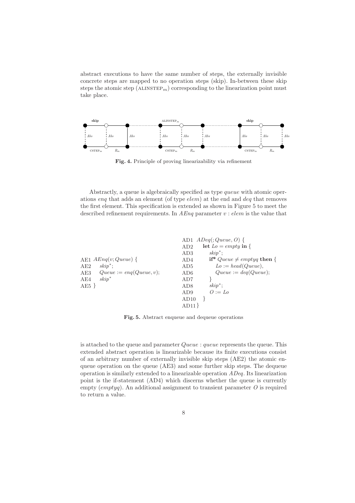abstract executions to have the same number of steps, the externally invisible concrete steps are mapped to no operation steps (skip). In-between these skip steps the atomic step ( $\text{ALINSTEP}_m$ ) corresponding to the linearization point must take place.



Fig. 4. Principle of proving linearizability via refinement

Abstractly, a queue is algebraically specified as type queue with atomic operations enq that adds an element (of type elem) at the end and deq that removes the first element. This specification is extended as shown in Figure 5 to meet the described refinement requirements. In  $AEnq$  parameter  $v : elem$  is the value that

```
AE1
AEnq(v; Queue) {
AE2
AE3
AE4
AE5
}
       skip∗
;
       Queue := eng(Queue, v);skip∗
                                       AD1
ADeq(; Queue, O) {
                                       AD2
                                       AD3
                                       AD4
                                       AD5
                                       AD6
                                       AD7
                                       AD8
                                       AD9
                                       AD10
                                       AD11
}
                                               let Lo = empty in {
                                                  skip∗
;
                                                  if* Queue \neq emptyq then {
                                                    Lo := head(Queue),Queue := deg(Queue);}
                                                  skip∗
;
                                                  O := Lo}
```
Fig. 5. Abstract enqueue and dequeue operations

is attached to the queue and parameter  $Queue: queue$  represents the queue. This extended abstract operation is linearizable because its finite executions consist of an arbitrary number of externally invisible skip steps (AE2) the atomic enqueue operation on the queue (AE3) and some further skip steps. The dequeue operation is similarly extended to a linearizable operation ADeq. Its linearization point is the if-statement (AD4) which discerns whether the queue is currently empty  $\ell$ emptyq). An additional assignment to transient parameter O is required to return a value.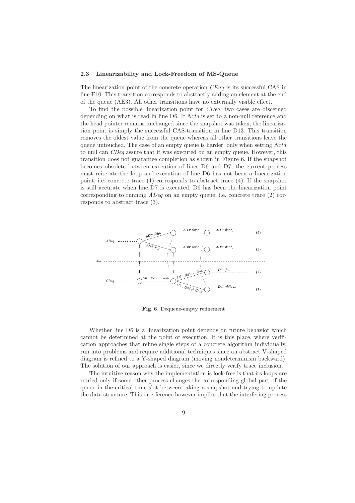#### 2.3 Linearizability and Lock-Freedom of MS-Queue

The linearization point of the concrete operation CEnq is its successful CAS in line E10. This transition corresponds to abstractly adding an element at the end of the queue (AE3). All other transitions have no externally visible effect.

To find the possible linearization point for CDeq, two cases are discerned depending on what is read in line D6. If Nxtd is set to a non-null reference and the head pointer remains unchanged since the snapshot was taken, the linearization point is simply the successful CAS-transition in line D13. This transition removes the oldest value from the queue whereas all other transitions leave the queue untouched. The case of an empty queue is harder: only when setting Nxtd to null can CDeq assure that it was executed on an empty queue. However, this transition does not guarantee completion as shown in Figure 6. If the snapshot becomes obsolete between execution of lines D6 and D7, the current process must reiterate the loop and execution of line D6 has not been a linearization point, i.e. concrete trace (1) corresponds to abstract trace (4). If the snapshot is still accurate when line D7 is executed, D6 has been the linearization point corresponding to running  $ADeq$  on an empty queue, i.e. concrete trace  $(2)$  corresponds to abstract trace (3).



Fig. 6. Dequeue-empty refinement

Whether line D6 is a linearization point depends on future behavior which cannot be determined at the point of execution. It is this place, where verification approaches that refine single steps of a concrete algorithm individually, run into problems and require additional techniques since an abstract V-shaped diagram is refined to a Y-shaped diagram (moving nondeterminism backward). The solution of our approach is easier, since we directly verify trace inclusion.

The intuitive reason why the implementation is lock-free is that its loops are retried only if some other process changes the corresponding global part of the queue in the critical time slot between taking a snapshot and trying to update the data structure. This interference however implies that the interfering process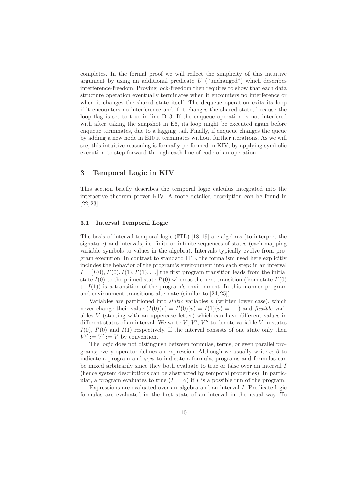completes. In the formal proof we will reflect the simplicity of this intuitive argument by using an additional predicate  $U$  ("unchanged") which describes interference-freedom. Proving lock-freedom then requires to show that each data structure operation eventually terminates when it encounters no interference or when it changes the shared state itself. The dequeue operation exits its loop if it encounters no interference and if it changes the shared state, because the loop flag is set to true in line D13. If the enqueue operation is not interfered with after taking the snapshot in E6, its loop might be executed again before enqueue terminates, due to a lagging tail. Finally, if enqueue changes the queue by adding a new node in E10 it terminates without further iterations. As we will see, this intuitive reasoning is formally performed in KIV, by applying symbolic execution to step forward through each line of code of an operation.

#### 3 Temporal Logic in KIV

This section briefly describes the temporal logic calculus integrated into the interactive theorem prover KIV. A more detailed description can be found in [22, 23].

#### 3.1 Interval Temporal Logic

The basis of interval temporal logic (ITL) [18, 19] are algebras (to interpret the signature) and intervals, i.e. finite or infinite sequences of states (each mapping variable symbols to values in the algebra). Intervals typically evolve from program execution. In contrast to standard ITL, the formalism used here explicitly includes the behavior of the program's environment into each step: in an interval  $I = [I(0), I'(0), I(1), I'(1), \ldots]$  the first program transition leads from the initial state  $I(0)$  to the primed state  $I'(0)$  whereas the next transition (from state  $I'(0)$ ) to  $I(1)$  is a transition of the program's environment. In this manner program and environment transitions alternate (similar to [24, 25]).

Variables are partitioned into *static* variables  $v$  (written lower case), which never change their value  $(I(0)(v) = I'(0)(v) = I(1)(v) = ...)$  and *flexible* variables V (starting with an uppercase letter) which can have different values in different states of an interval. We write  $V, V', V''$  to denote variable V in states  $I(0)$ ,  $I'(0)$  and  $I(1)$  respectively. If the interval consists of one state only then  $V'':=V':=V$  by convention.

The logic does not distinguish between formulas, terms, or even parallel programs; every operator defines an expression. Although we usually write  $\alpha, \beta$  to indicate a program and  $\varphi, \psi$  to indicate a formula, programs and formulas can be mixed arbitrarily since they both evaluate to true or false over an interval I (hence system descriptions can be abstracted by temporal properties). In particular, a program evaluates to true  $(I \models \alpha)$  if I is a possible run of the program.

Expressions are evaluated over an algebra and an interval I. Predicate logic formulas are evaluated in the first state of an interval in the usual way. To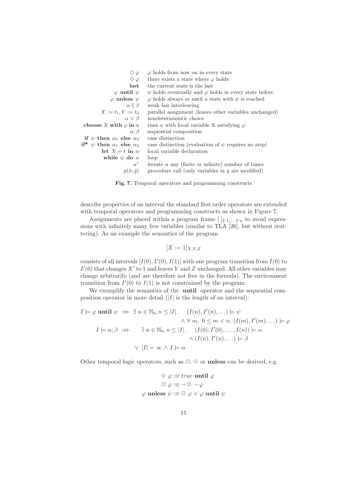$\Box \varphi$   $\varphi$  holds from now on in every state  $\diamond \varphi$  there exists a state where  $\varphi$  holds last the current state is the last  $\varphi$  **until** *ψ*  $\psi$  holds eventually and  $\varphi$  holds in every state before  $\varphi$  unless *ψ*  $\varphi$  holds always or until a state with *ψ* is reached  $\varphi$  holds always or until a state with  $\psi$  is reached  $\alpha \parallel \beta$  weak fair interleaving  $X := t_1, Y := t_2$  parallel assignment (leaves other variables unchanged)  $\alpha \vee \beta$  nondeterministic choice choose X with  $\varphi$  in  $\alpha$  runs  $\alpha$  with local variable X satisfying  $\varphi$  $\alpha$ ;  $\beta$  sequential composition if *ψ* then  $\alpha_1$  else  $\alpha_2$  case distinction<br>if\* *ψ* then  $\alpha_1$  else  $\alpha_2$  case distinction case distinction (evaluation of  $\psi$  requires no step) let  $X = t$  in  $\alpha$  local variable declaration while  $\psi$  do  $\alpha$  loop  $\alpha^*$ iterate  $\alpha$  any (finite or infinite) number of times  $p(\bar{x}; \bar{y})$  procedure call (only variables in  $\bar{y}$  are modified)

Fig. 7. Temporal operators and programming constructs

describe properties of an interval the standard first order operators are extended with temporal operators and programming constructs as shown in Figure 7.

Assignments are placed within a program frame  $[.]_{V1,...,Vn}$  to avoid expressions with infinitely many free variables (similar to TLA [26], but without stuttering). As an example the semantics of the program

$$
[X := 1]_{X,Y,Z}
$$

consists of all intervals  $[I(0), I'(0), I(1)]$  with one program transition from  $I(0)$  to  $I'(0)$  that changes X' to 1 and leaves Y and Z unchanged. All other variables may change arbitrarily (and are therefore not free in the formula). The environment transition from  $I'(0)$  to  $I(1)$  is not constrained by the program.

We exemplify the semantics of the **until** operator and the sequential composition operator in more detail  $\left(\left|I\right|\right)$  is the length of an interval):

$$
I \models \varphi \text{ until } \psi \; : \Leftrightarrow \; \exists \; n \in \mathbb{N}_0, n \leq |I|. \quad (I(n), I'(n), \ldots) \models \psi
$$
  
\n
$$
\land \forall \; m, \; 0 \leq m < n. \quad (I(m), I'(m), \ldots) \models \varphi
$$
  
\n
$$
I \models \alpha; \beta \; : \Leftrightarrow \quad \exists \; n \in \mathbb{N}_0, n \leq |I|. \quad (I(0), I'(0), \ldots, I(n)) \models \alpha
$$
  
\n
$$
\lor \; |I| = \infty \land I \models \alpha
$$

Other temporal logic operators, such as  $\Box$ ,  $\diamond$  or **unless** can be derived, e.g.

$$
\diamondsuit \varphi :\equiv true \text{ until } \varphi
$$

$$
\Box \varphi :\equiv \neg \diamondsuit \neg \varphi
$$

$$
\varphi \text{ unless } \psi :\equiv \Box \varphi \vee \varphi \text{ until } \psi
$$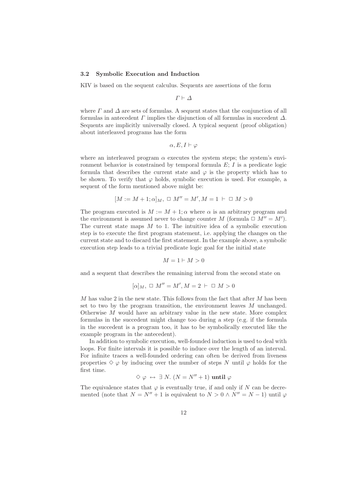#### 3.2 Symbolic Execution and Induction

KIV is based on the sequent calculus. Sequents are assertions of the form

 $\Gamma \vdash \Delta$ 

where  $\Gamma$  and  $\Delta$  are sets of formulas. A sequent states that the conjunction of all formulas in antecedent  $\Gamma$  implies the disjunction of all formulas in succedent  $\Delta$ . Sequents are implicitly universally closed. A typical sequent (proof obligation) about interleaved programs has the form

$$
\alpha, E, I \vdash \varphi
$$

where an interleaved program  $\alpha$  executes the system steps; the system's environment behavior is constrained by temporal formula  $E$ ; I is a predicate logic formula that describes the current state and  $\varphi$  is the property which has to be shown. To verify that  $\varphi$  holds, symbolic execution is used. For example, a sequent of the form mentioned above might be:

$$
[M:=M+1;\alpha]_M,\ \Box\ M''=M',M=1\ \vdash\ \Box\ M>0
$$

The program executed is  $M := M + 1$ ;  $\alpha$  where  $\alpha$  is an arbitrary program and the environment is assumed never to change counter M (formula  $\Box$   $\overline{M}'' = M'$ ). The current state maps  $M$  to 1. The intuitive idea of a symbolic execution step is to execute the first program statement, i.e. applying the changes on the current state and to discard the first statement. In the example above, a symbolic execution step leads to a trivial predicate logic goal for the initial state

$$
M = 1 \vdash M > 0
$$

and a sequent that describes the remaining interval from the second state on

$$
[\alpha]_M, \ \Box \ M'' = M', M = 2 \ \vdash \ \Box \ M > 0
$$

M has value 2 in the new state. This follows from the fact that after  $M$  has been set to two by the program transition, the environment leaves M unchanged. Otherwise M would have an arbitrary value in the new state. More complex formulas in the succedent might change too during a step (e.g. if the formula in the succedent is a program too, it has to be symbolically executed like the example program in the antecedent).

In addition to symbolic execution, well-founded induction is used to deal with loops. For finite intervals it is possible to induce over the length of an interval. For infinite traces a well-founded ordering can often be derived from liveness properties  $\diamond \varphi$  by inducing over the number of steps N until  $\varphi$  holds for the first time.

$$
\Diamond \varphi \leftrightarrow \exists N. (N = N'' + 1) \text{ until } \varphi
$$

The equivalence states that  $\varphi$  is eventually true, if and only if N can be decremented (note that  $N = N'' + 1$  is equivalent to  $N > 0 \land N'' = N - 1$ ) until  $\varphi$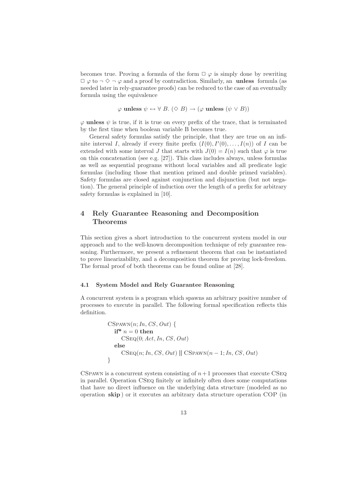becomes true. Proving a formula of the form  $\Box \varphi$  is simply done by rewriting  $\Box \varphi$  to  $\neg \Diamond \neg \varphi$  and a proof by contradiction. Similarly, an unless formula (as needed later in rely-guarantee proofs) can be reduced to the case of an eventually formula using the equivalence

$$
\varphi
$$
 unless  $\psi \leftrightarrow \forall B. (\Diamond B) \rightarrow (\varphi$  unless  $(\psi \lor B))$ 

 $\varphi$  unless  $\psi$  is true, if it is true on every prefix of the trace, that is terminated by the first time when boolean variable B becomes true.

General safety formulas satisfy the principle, that they are true on an infinite interval I, already if every finite prefix  $(I(0), I'(0), \ldots, I(n))$  of I can be extended with some interval J that starts with  $J(0) = I(n)$  such that  $\varphi$  is true on this concatenation (see e.g. [27]). This class includes always, unless formulas as well as sequential programs without local variables and all predicate logic formulas (including those that mention primed and double primed variables). Safety formulas are closed against conjunction and disjunction (but not negation). The general principle of induction over the length of a prefix for arbitrary safety formulas is explained in [10].

#### 4 Rely Guarantee Reasoning and Decomposition Theorems

This section gives a short introduction to the concurrent system model in our approach and to the well-known decomposition technique of rely guarantee reasoning. Furthermore, we present a refinement theorem that can be instantiated to prove linearizability, and a decomposition theorem for proving lock-freedom. The formal proof of both theorems can be found online at [28].

#### 4.1 System Model and Rely Guarantee Reasoning

A concurrent system is a program which spawns an arbitrary positive number of processes to execute in parallel. The following formal specification reflects this definition.

$$
\begin{array}{l}\n\text{CSPANN}(n; In, CS, Out) {\n\begin{matrix}\n\mathbf{if*}\ n = 0\ \mathbf{then} \\
\text{CSEQ}(0; Act, In, CS, Out)\n\end{matrix}} \\
\text{else}\n\quad\n\text{CSEQ}(n; In, CS, Out) || \text{CSPANN}(n-1; In, CS, Out)\n\end{array}}
$$

CSPAWN is a concurrent system consisting of  $n+1$  processes that execute CSEQ in parallel. Operation CSeq finitely or infinitely often does some computations that have no direct influence on the underlying data structure (modeled as no operation skip ) or it executes an arbitrary data structure operation COP (in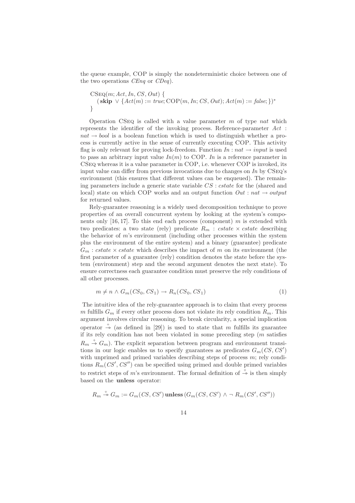the queue example, COP is simply the nondeterministic choice between one of the two operations  $CEnq$  or  $CDeq$ .

$$
CSeq(m; Act, In, CS, Out) {\n {skip $\vee$ { \{ Act(m) := true; COP(m, In; CS, Out); Act(m) := false; \} \}^* }
$$

Operation CSEQ is called with a value parameter  $m$  of type nat which represents the identifier of the invoking process. Reference-parameter Act :  $nat \rightarrow bool$  is a boolean function which is used to distinguish whether a process is currently active in the sense of currently executing COP. This activity flag is only relevant for proving lock-freedom. Function  $In : nat \rightarrow input$  is used to pass an arbitrary input value  $In(m)$  to COP. In is a reference parameter in CSeq whereas it is a value parameter in COP, i.e. whenever COP is invoked, its input value can differ from previous invocations due to changes on  $In$  by  $CSeq's$ environment (this ensures that different values can be enqueued). The remaining parameters include a generic state variable CS : cstate for the (shared and local) state on which COP works and an output function  $Out : nat \rightarrow output$ for returned values.

Rely-guarantee reasoning is a widely used decomposition technique to prove properties of an overall concurrent system by looking at the system's components only [16, 17]. To this end each process (component)  $m$  is extended with two predicates: a two state (rely) predicate  $R_m$ : cstate  $\times$  cstate describing the behavior of m's environment (including other processes within the system plus the environment of the entire system) and a binary (guarantee) predicate  $G_m$ : cstate × cstate which describes the impact of m on its environment (the first parameter of a guarantee (rely) condition denotes the state before the system (environment) step and the second argument denotes the next state). To ensure correctness each guarantee condition must preserve the rely conditions of all other processes.

$$
m \neq n \land G_m(CS_0, CS_1) \rightarrow R_n(CS_0, CS_1) \tag{1}
$$

The intuitive idea of the rely-guarantee approach is to claim that every process m fulfills  $G_m$  if every other process does not violate its rely condition  $R_m$ . This argument involves circular reasoning. To break circularity, a special implication operator  $\stackrel{+}{\rightarrow}$  (as defined in [29]) is used to state that m fulfills its guarantee if its rely condition has not been violated in some preceding step (m satisfies  $R_m \stackrel{+}{\rightarrow} G_m$ ). The explicit separation between program and environment transitions in our logic enables us to specify guarantees as predicates  $G_m(CS, CS')$ with unprimed and primed variables describing steps of process  $m$ ; rely conditions  $R_m (CS', CS'')$  can be specified using primed and double primed variables to restrict steps of m's environment. The formal definition of  $\stackrel{+}{\rightarrow}$  is then simply based on the unless operator:

$$
R_m \stackrel{+}{\rightarrow} G_m := G_m(CS, CS') \text{ unless } (G_m(CS, CS') \land \neg R_m(CS', CS''))
$$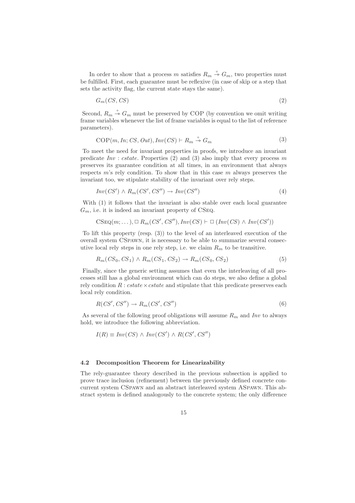In order to show that a process m satisfies  $R_m \stackrel{+}{\rightarrow} G_m$ , two properties must be fulfilled. First, each guarantee must be reflexive (in case of skip or a step that sets the activity flag, the current state stays the same).

$$
G_m(CS, CS) \tag{2}
$$

Second,  $R_m \stackrel{+}{\rightarrow} G_m$  must be preserved by COP (by convention we omit writing frame variables whenever the list of frame variables is equal to the list of reference parameters).

$$
COP(m, In; CS, Out), Inv(CS) \vdash R_m \stackrel{+}{\to} G_m \tag{3}
$$

To meet the need for invariant properties in proofs, we introduce an invariant predicate  $Inv : cstate.$  Properties (2) and (3) also imply that every process m preserves its guarantee condition at all times, in an environment that always respects  $m$ 's rely condition. To show that in this case  $m$  always preserves the invariant too, we stipulate stability of the invariant over rely steps.

$$
Inv(CS') \wedge R_m(CS', CS'') \rightarrow Inv(CS'')
$$
\n<sup>(4)</sup>

With (1) it follows that the invariant is also stable over each local guarantee  $G_m$ , i.e. it is indeed an invariant property of CSEQ.

$$
CSEQ(m;...), \Box R_m(CS',CS''), Inv(CS) \vdash \Box (Inv(CS) \land Inv(CS'))
$$

To lift this property (resp. (3)) to the level of an interleaved execution of the overall system CSpawn, it is necessary to be able to summarize several consecutive local rely steps in one rely step, i.e. we claim  $R_m$  to be transitive.

$$
R_m(CS_0, CS_1) \wedge R_m(CS_1, CS_2) \rightarrow R_m(CS_0, CS_2)
$$
\n
$$
(5)
$$

Finally, since the generic setting assumes that even the interleaving of all processes still has a global environment which can do steps, we also define a global rely condition  $R: cstate \times cstate$  and stipulate that this predicate preserves each local rely condition.

$$
R(CS', CS'') \rightarrow R_m(CS', CS'')
$$
\n
$$
(6)
$$

As several of the following proof obligations will assume  $R_m$  and Inv to always hold, we introduce the following abbreviation.

$$
I(R) \equiv Inv(CS) \land Inv(CS') \land R(CS', CS'')
$$

#### 4.2 Decomposition Theorem for Linearizability

The rely-guarantee theory described in the previous subsection is applied to prove trace inclusion (refinement) between the previously defined concrete concurrent system CSpawn and an abstract interleaved system ASpawn. This abstract system is defined analogously to the concrete system; the only difference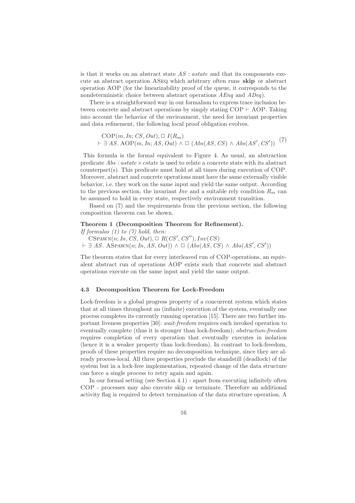is that it works on an abstract state  $AS: a state$  and that its components execute an abstract operation ASeq which arbitrary often runs skip or abstract operation AOP (for the linearizability proof of the queue, it corresponds to the nondeterministic choice between abstract operations  $AEng$  and  $ADeg$ .

There is a straightforward way in our formalism to express trace inclusion between concrete and abstract operations by simply stating  $COP \vdash AOP$ . Taking into account the behavior of the environment, the need for invariant properties and data refinement, the following local proof obligation evolves.

 $COP(m, In; CS, Out), \square I(R_m)$  $\vdash \exists \; AS. \; \overrightarrow{AOP}(m, In; \overrightarrow{AS}, Out) \land \Box \; (Abs(AS, CS) \land Abs(AS', CS'))$ )) (7)

This formula is the formal equivalent to Figure 4. As usual, an abstraction predicate  $Abs: a state \times cstate$  is used to relate a concrete state with its abstract counterpart(s). This predicate must hold at all times during execution of COP. Moreover, abstract and concrete operations must have the same externally visible behavior, i.e. they work on the same input and yield the same output. According to the previous section, the invariant Inv and a suitable rely condition  $R_m$  can be assumed to hold in every state, respectively environment transition.

Based on (7) and the requirements from the previous section, the following composition theorem can be shown.

#### Theorem 1 (Decomposition Theorem for Refinement).

If formulas  $(1)$  to  $(7)$  hold, then:

 $CSPAWN(n; In, CS, Out), \square R(CS', CS''), Inv(CS)$  $\vdash \exists AS. \text{ASpawn}(n; In, AS, Out)) \land \Box (\overset{\sim}{Abs}(AS, CS) \land Abs(AS', CS'))$ 

The theorem states that for every interleaved run of COP-operations, an equivalent abstract run of operations AOP exists such that concrete and abstract operations execute on the same input and yield the same output.

#### 4.3 Decomposition Theorem for Lock-Freedom

Lock-freedom is a global progress property of a concurrent system which states that at all times throughout an (infinite) execution of the system, eventually one process completes its currently running operation [15]. There are two further important liveness properties [30]: wait-freedom requires each invoked operation to eventually complete (thus it is stronger than lock-freedom); obstruction-freedom requires completion of every operation that eventually executes in isolation (hence it is a weaker property than lock-freedom). In contrast to lock-freedom, proofs of these properties require no decomposition technique, since they are already process-local. All three properties preclude the standstill (deadlock) of the system but in a lock-free implementation, repeated change of the data structure can force a single process to retry again and again.

In our formal setting (see Section 4.1) - apart from executing infinitely often COP - processes may also execute skip or terminate. Therefore an additional activity flag is required to detect termination of the data structure operation. A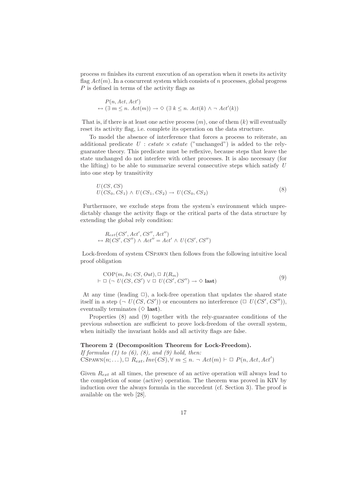process  $m$  finishes its current execution of an operation when it resets its activity flag  $Act(m)$ . In a concurrent system which consists of n processes, global progress P is defined in terms of the activity flags as

$$
P(n, Act, Act')
$$
  

$$
\leftrightarrow (\exists m \le n. \text{ } Act(m)) \rightarrow \Diamond (\exists k \le n. \text{ } Act(k) \land \neg \text{ } Act'(k))
$$

That is, if there is at least one active process  $(m)$ , one of them  $(k)$  will eventually reset its activity flag, i.e. complete its operation on the data structure.

To model the absence of interference that forces a process to reiterate, an additional predicate  $U : cstate \times cstate$  ("unchanged") is added to the relyguarantee theory. This predicate must be reflexive, because steps that leave the state unchanged do not interfere with other processes. It is also necessary (for the lifting) to be able to summarize several consecutive steps which satisfy  $U$ into one step by transitivity

$$
U(CS, CS)
$$
  
 
$$
U(CS_0, CS_1) \wedge U(CS_1, CS_2) \rightarrow U(CS_0, CS_2)
$$
 (8)

Furthermore, we exclude steps from the system's environment which unpredictably change the activity flags or the critical parts of the data structure by extending the global rely condition:

$$
R_{ext}(CS', Act', CS'', Act'')
$$
  

$$
\leftrightarrow R(CS', CS'') \land Act'' = Act' \land U(CS', CS'')
$$

Lock-freedom of system CSpawn then follows from the following intuitive local proof obligation

$$
COP(m, In; CS, Out), \Box I(R_m)
$$
  
\n
$$
\vdash \Box (\neg U(CS, CS') \lor \Box U(CS', CS'') \rightarrow \Diamond last)
$$
\n(9)

At any time (leading  $\Box$ ), a lock-free operation that updates the shared state itself in a step  $(\neg U(CS, CS'))$  or encounters no interference  $(\Box U(CS', CS''))$ , eventually terminates  $(\Diamond \text{ last}).$ 

Properties (8) and (9) together with the rely-guarantee conditions of the previous subsection are sufficient to prove lock-freedom of the overall system, when initially the invariant holds and all activity flags are false.

Theorem 2 (Decomposition Theorem for Lock-Freedom). If formulas  $(1)$  to  $(6)$ ,  $(8)$ , and  $(9)$  hold, then:  $\operatorname{CSpawn}(n; \ldots), \Box R_{ext}, Inv(CS), \forall m \leq n. \neg \text{ Act}(m) \vdash \Box P(n, Act, Act')$ 

Given  $R_{ext}$  at all times, the presence of an active operation will always lead to the completion of some (active) operation. The theorem was proved in KIV by induction over the always formula in the succedent (cf. Section 3). The proof is available on the web [28].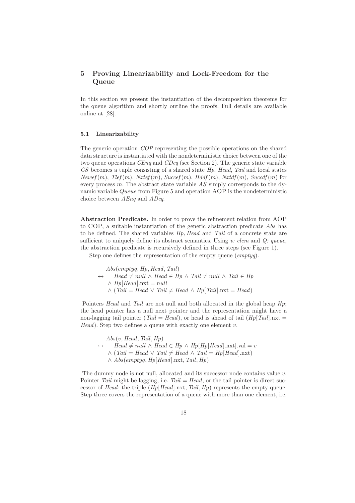#### 5 Proving Linearizability and Lock-Freedom for the Queue

In this section we present the instantiation of the decomposition theorems for the queue algorithm and shortly outline the proofs. Full details are available online at [28].

#### 5.1 Linearizability

The generic operation COP representing the possible operations on the shared data structure is instantiated with the nondeterministic choice between one of the two queue operations CEnq and CDeq (see Section 2). The generic state variable  $CS$  becomes a tuple consisting of a shared state  $Hp$ , Head, Tail and local states  $Newef(m)$ ,  $Tlef(m)$ ,  $Nxtef(m)$ ,  $Succef(m)$ ,  $Hddf(m)$ ,  $Nxtdf(m)$ ,  $Succdf(m)$  for every process m. The abstract state variable  $AS$  simply corresponds to the dynamic variable Queue from Figure 5 and operation AOP is the nondeterministic choice between AEnq and ADeq.

Abstraction Predicate. In order to prove the refinement relation from AOP to COP, a suitable instantiation of the generic abstraction predicate Abs has to be defined. The shared variables Hp, Head and Tail of a concrete state are sufficient to uniquely define its abstract semantics. Using  $v:$  elem and  $Q:$  queue, the abstraction predicate is recursively defined in three steps (see Figure 1).

Step one defines the representation of the empty queue (emptyq).

$$
Abs(emptyq, Hp, Head, Tail)
$$
  
\n
$$
\leftrightarrow \text{Head} \neq null \land Head \in Hp \land Tail \neq null \land Tail \in Hp
$$
  
\n
$$
\land Hp[Head].nxt = null
$$
  
\n
$$
\land (Tail = Head \lor Tail \neq Head \land Hp[Tail].nxt = Head)
$$

Pointers Head and Tail are not null and both allocated in the global heap Hp; the head pointer has a null next pointer and the representation might have a non-lagging tail pointer  $(Tail = Head)$ , or head is ahead of tail  $(Hp[Tail].nxt =$ Head). Step two defines a queue with exactly one element  $v$ .

 $Abs(v, Head, Tail, Hop)$  $\leftrightarrow$  Head  $\neq null \wedge Head \in Hyp({Hp,Hp[Hhead].nxt].val} = v$  $\wedge$  (Tail = Head  $\vee$  Tail  $\neq$  Head  $\wedge$  Tail = Hp[Head].nxt)  $\wedge$  Abs(emptyq, Hp[Head].nxt, Tail, Hp)

The dummy node is not null, allocated and its successor node contains value v. Pointer Tail might be lagging, i.e.  $Tail = Head$ , or the tail pointer is direct successor of Head; the triple  $(Hp[Head].\text{nxt}, \textit{Tail}, Hp)$  represents the empty queue. Step three covers the representation of a queue with more than one element, i.e.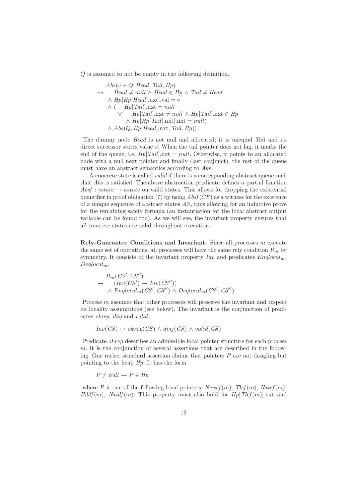Q is assumed to not be empty in the following definition.

$$
Abs(v + Q, Head, Tail, Hyp)
$$
  
\n→  $Head \neq null \land Head \in Hyp \land Tail \neq Head$   
\n $\land HP[Hp[Head].nxt].val = v$   
\n $\land \quad (HP[Tail].nxt = null \quad \lor \quad HP[Tail].nxt \neq null \land HP[Tail].nxt \in Hyp$   
\n $\land HP[Hp[Tail].nxt].nxt = null)$   
\n $\land Abs(Q, HP[Head].nxt, Tail, Hyp))$ 

The dummy node *Head* is not null and allocated; it is unequal Tail and its direct successor stores value  $v$ . When the tail pointer does not lag, it marks the end of the queue, i.e.  $Hp[Tail].nxt = null.$  Otherwise, it points to an allocated node with a null next pointer and finally (last conjunct), the rest of the queue must have an abstract semantics according to Abs.

A concrete state is called valid if there is a corresponding abstract queue such that Abs is satisfied. The above abstraction predicate defines a partial function Absf: cstate  $\rightarrow$  astate on valid states. This allows for dropping the existential quantifier in proof obligation (7) by using  $Absf(CS)$  as a witness for the existence of a unique sequence of abstract states AS, thus allowing for an inductive prove for the remaining safety formula (an instantiation for the local abstract output variable can be found too). As we will see, the invariant property ensures that all concrete states are valid throughout execution.

Rely-Guarantee Conditions and Invariant. Since all processes  $m$  execute the same set of operations, all processes will have the same rely condition  $R_m$  by symmetry. It consists of the invariant property  $Inv$  and predicates  $Englocal_m$ ,  $Deqlocal<sub>m</sub>$ .

$$
R_m(CS', CS'')
$$
  
\n
$$
\leftrightarrow \quad (Inv(CS') \rightarrow Inv(CS''))
$$
  
\n
$$
\land \quad Englocal_m(CS', CS'') \land \quad Deglocal_m(CS', CS'')
$$

Process m assumes that other processes will preserve the invariant and respect its locality assumptions (see below). The invariant is the conjunction of predicates okrep, disj and valid.

$$
Inv(CS) \leftrightarrow okrep(CS) \land disj(CS) \land valid(CS)
$$

Predicate okrep describes an admissible local pointer structure for each process m. It is the conjunction of several assertions that are described in the following. One rather standard assertion claims that pointers  $P$  are not dangling but pointing to the heap  $H_p$ . It has the form

$$
P \neq null \rightarrow P \in Hp
$$

where P is one of the following local pointers:  $Newef(m)$ ,  $Tleft(m)$ ,  $Nxtef(m)$ ,  $Hddf(m)$ ,  $Nxtdf(m)$ . This property must also hold for  $Hp[Tlef(m)]$ .nxt and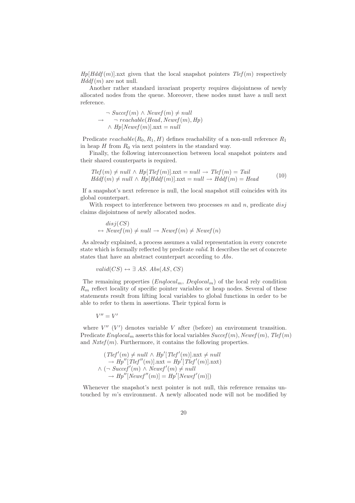$Hp[Hddf(m)]$ .nxt given that the local snapshot pointers  $Tleft(m\right)$  respectively  $Hddf(m)$  are not null.

Another rather standard invariant property requires disjointness of newly allocated nodes from the queue. Moreover, these nodes must have a null next reference.

$$
\neg \text{ Succef}(m) \land \text{Newef}(m) \neq null
$$
  
\n
$$
\rightarrow \neg \text{reachable}(\text{Head}, \text{Newef}(m), \text{Hp})
$$
  
\n
$$
\land \text{Hp}[\text{Newef}(m)].\text{nxt} = null
$$

Predicate  $reachable(R_0, R_1, H)$  defines reachability of a non-null reference  $R_1$ in heap  $H$  from  $R_0$  via next pointers in the standard way.

Finally, the following interconnection between local snapshot pointers and their shared counterparts is required.

$$
Tleft(m) \neq null \land Hp[Tleft(m)]\text{.nxt} = null \rightarrow Tleft(m) = Tail
$$
  

$$
Hddf(m) \neq null \land Hp[Hddf(m)]\text{.nxt} = null \rightarrow Hddf(m) = Head
$$
 (10)

If a snapshot's next reference is null, the local snapshot still coincides with its global counterpart.

With respect to interference between two processes  $m$  and  $n$ , predicate  $disj$ claims disjointness of newly allocated nodes.

$$
disj(CS)
$$
  

$$
\leftrightarrow
$$
  $Newef(m) \neq null \rightarrow$   $Newef(m) \neq$   $Newef(n)$ 

As already explained, a process assumes a valid representation in every concrete state which is formally reflected by predicate *valid*. It describes the set of concrete states that have an abstract counterpart according to Abs.

$$
valid(CS) \leftrightarrow \exists AS. \ Abs(AS, CS)
$$

The remaining properties  $(Englocal_m, Deglocal_m)$  of the local rely condition  $R_m$  reflect locality of specific pointer variables or heap nodes. Several of these statements result from lifting local variables to global functions in order to be able to refer to them in assertions. Their typical form is

 $V'' = V'$ 

where  $V''(V')$  denotes variable V after (before) an environment transition. Predicate  $Englocal_m$  asserts this for local variables  $Succf(m)$ ,  $Newef(m)$ ,  $Tleft(m\right)$ and  $\text{Nx} \text{tef}(m)$ . Furthermore, it contains the following properties.

$$
(Tleft'(m) \neq null \land Hp'[Tleft'(m)]\text{.nxt} \neq null \rightarrow Hp'[Tleft'(m)]\text{.nxt} = Hp'[Tleft'(m)]\text{.nxt}
$$
\n
$$
\land (\neg \text{ Succef}'(m) \land \text{Newef}'(m) \neq null \rightarrow Hp''[\text{Newef}'(m)] = Hp'[\text{Newef}'(m)])
$$

Whenever the snapshot's next pointer is not null, this reference remains untouched by  $m$ 's environment. A newly allocated node will not be modified by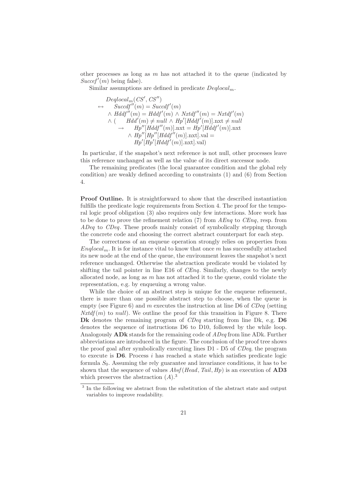other processes as long as m has not attached it to the queue (indicated by  $Succef'(m)$  being false).

Similar assumptions are defined in predicate  $Deqlocal_m$ .

$$
Deqlocal_m(CS', CS'')
$$
  
\n
$$
\leftrightarrow \text{Sucedf''}(m) = \text{Sucedf'}(m)
$$
  
\n
$$
\land \text{Hddf''}(m) = \text{Hddf'}(m) \land \text{Nxtdf''}(m) = \text{Nxtdf'}(m)
$$
  
\n
$$
\land \text{ } (\text{Hdd'}(m) \neq null \land \text{Hp'}[\text{Hddf'}(m)]\text{.nxt} \neq null
$$
  
\n
$$
\rightarrow \text{Hp''}[\text{Hddf''}(m)]\text{.nxt} = \text{Hp'}[\text{Hddf'}(m)]\text{.nxt}
$$
  
\n
$$
\land \text{Hp''}[\text{Hp''}[\text{Hddf''}(m)]\text{.nxt}]\text{.val} =
$$
  
\n
$$
\text{Hp''}[\text{Hddf''}(m)]\text{.nxt}]\text{.val}
$$

In particular, if the snapshot's next reference is not null, other processes leave this reference unchanged as well as the value of its direct successor node.

The remaining predicates (the local guarantee condition and the global rely condition) are weakly defined according to constraints (1) and (6) from Section 4.

Proof Outline. It is straightforward to show that the described instantiation fulfills the predicate logic requirements from Section 4. The proof for the temporal logic proof obligation (3) also requires only few interactions. More work has to be done to prove the refinement relation  $(7)$  from  $AEng$  to  $CEnq$ , resp. from ADeq to CDeq. These proofs mainly consist of symbolically stepping through the concrete code and choosing the correct abstract counterpart for each step.

The correctness of an enqueue operation strongly relies on properties from  $Englocal_m$ . It is for instance vital to know that once m has successfully attached its new node at the end of the queue, the environment leaves the snapshot's next reference unchanged. Otherwise the abstraction predicate would be violated by shifting the tail pointer in line E16 of *CEnq*. Similarly, changes to the newly allocated node, as long as  $m$  has not attached it to the queue, could violate the representation, e.g. by enqueuing a wrong value.

While the choice of an abstract step is unique for the enqueue refinement. there is more than one possible abstract step to choose, when the queue is empty (see Figure 6) and m executes the instruction at line D6 of  $CDeq$  (setting  $Nxtdf(m)$  to null). We outline the proof for this transition in Figure 8. There Dk denotes the remaining program of *CDeq* starting from line Dk, e.g. D6 denotes the sequence of instructions D6 to D10, followed by the while loop. Analogously ADk stands for the remaining code of ADeq from line ADk. Further abbreviations are introduced in the figure. The conclusion of the proof tree shows the proof goal after symbolically executing lines D1 - D5 of CDeq, the program to execute is  $\mathbf{D6}$ . Process i has reached a state which satisfies predicate logic formula  $S_0$ . Assuming the rely guarantee and invariance conditions, it has to be shown that the sequence of values  $Absf(Head, Tail, Hp)$  is an execution of  $\bf{AD3}$ which preserves the abstraction  $(A).<sup>3</sup>$ 

<sup>&</sup>lt;sup>3</sup> In the following we abstract from the substitution of the abstract state and output variables to improve readability.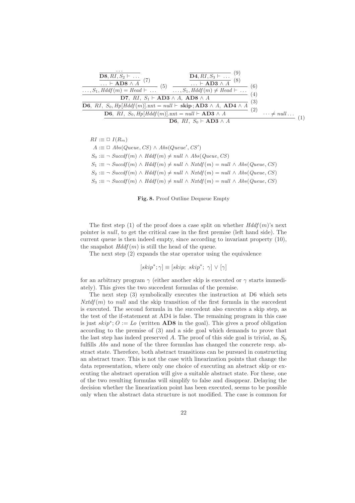

 $RI := \square \, I(R_m)$  $A := \Box \text{ Abs}(Queue, CS) \land \text{Abs}(Queue', CS')$  $S_0 := \neg \; Sucedf(m) \land Hddf(m) \neq null \land Abs(Queue, CS)$  $S_1 := \neg \; Sucedf(m) \land Hddf(m) \neq null \land Nxtdf(m) = null \land Abs(Queue, CS)$  $S_2 := \neg \; Sucedf(m) \land \; Hddf(m) \neq null \land \; Nxtdf(m) = null \land \; Abs(Queue, CS)$  $S_3 := \neg \; Sucedf(m) \land Hddf(m) \neq null \land Nxtdf(m) = null \land Abs(Queue, CS)$ 

Fig. 8. Proof Outline Dequeue Empty

The first step (1) of the proof does a case split on whether  $Hddf(m)$ 's next pointer is null, to get the critical case in the first premise (left hand side). The current queue is then indeed empty, since according to invariant property (10), the snapshot  $Hddf(m)$  is still the head of the queue.

The next step (2) expands the star operator using the equivalence

$$
[skip^*; \gamma] \equiv [skip; skip^*; \gamma] \sqrt{|\gamma|} \; \forall \; [\gamma]
$$

for an arbitrary program  $\gamma$  (either another skip is executed or  $\gamma$  starts immediately). This gives the two succedent formulas of the premise.

The next step (3) symbolically executes the instruction at D6 which sets  $Nxtdf(m)$  to *null* and the skip transition of the first formula in the succedent is executed. The second formula in the succedent also executes a skip step, as the test of the if-statement at AD4 is false. The remaining program in this case is just  $skip^*$ ;  $O := Lo$  (written **AD8** in the goal). This gives a proof obligation according to the premise of (3) and a side goal which demands to prove that the last step has indeed preserved A. The proof of this side goal is trivial, as  $S_0$ fulfills Abs and none of the three formulas has changed the concrete resp. abstract state. Therefore, both abstract transitions can be pursued in constructing an abstract trace. This is not the case with linearization points that change the data representation, where only one choice of executing an abstract skip or executing the abstract operation will give a suitable abstract state. For these, one of the two resulting formulas will simplify to false and disappear. Delaying the decision whether the linearization point has been executed, seems to be possible only when the abstract data structure is not modified. The case is common for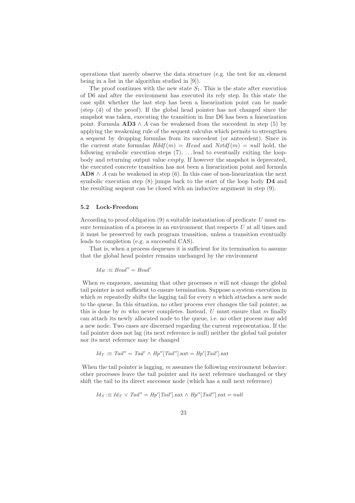operations that merely observe the data structure (e.g. the test for an element being in a list in the algorithm studied in [9]).

The proof continues with the new state  $S_1$ . This is the state after execution of D6 and after the environment has executed its rely step. In this state the case split whether the last step has been a linearization point can be made (step (4) of the proof). If the global head pointer has not changed since the snapshot was taken, executing the transition in line D6 has been a linearization point. Formula  $\bf{AD3} \wedge \bf{A}$  can be weakened from the succedent in step (5) by applying the weakening rule of the sequent calculus which permits to strengthen a sequent by dropping formulas from its succedent (or antecedent). Since in the current state formulas  $Hddf(m) = Head$  and  $Nxtdf(m) = null$  hold, the following symbolic execution steps  $(7)$ , ... lead to eventually exiting the loopbody and returning output value empty. If however the snapshot is deprecated, the executed concrete transition has not been a linearization point and formula AD8  $\wedge$  A can be weakened in step (6). In this case of non-linearization the next symbolic execution step  $(8)$  jumps back to the start of the loop body  $\mathbf{D4}$  and the resulting sequent can be closed with an inductive argument in step (9).

#### 5.2 Lock-Freedom

According to proof obligation  $(9)$  a suitable instantiation of predicate U must ensure termination of a process in an environment that respects  $U$  at all times and it must be preserved by each program transition, unless a transition eventually leads to completion (e.g. a successful CAS).

That is, when a process dequeues it is sufficient for its termination to assume that the global head pointer remains unchanged by the environment

$$
Id_H := Head'' = Head'
$$

When  $m$  enqueues, assuming that other processes  $n$  will not change the global tail pointer is not sufficient to ensure termination. Suppose a system execution in which  $m$  repeatedly shifts the lagging tail for every  $n$  which attaches a new node to the queue. In this situation, no other process ever changes the tail pointer, as this is done by  $m$  who never completes. Instead,  $U$  must ensure that  $m$  finally can attach its newly allocated node to the queue, i.e. no other process may add a new node. Two cases are discerned regarding the current representation. If the tail pointer does not lag (its next reference is null) neither the global tail pointer nor its next reference may be changed

$$
Id_T := \textit{Tail}'' = \textit{Tail}' \land \textit{Hp}''[\textit{Tail}''] \cdot \text{nxt} = \textit{Hp}'[\textit{Tail}'] \cdot \text{nxt}
$$

When the tail pointer is lagging,  $m$  assumes the following environment behavior: other processes leave the tail pointer and its next reference unchanged or they shift the tail to its direct successor node (which has a null next reference)

$$
Id_S := Id_T \vee Tail'' = Hop'[Tail'] \text{.nxt} \wedge Hop''[Tail''] \text{.nxt} = null
$$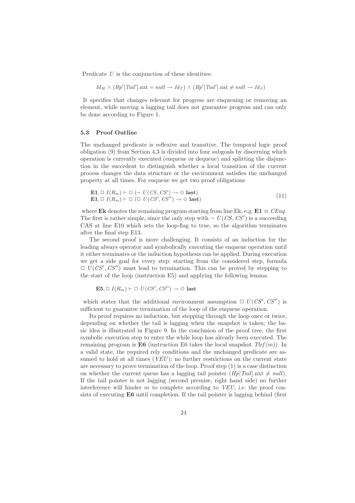Predicate U is the conjunction of these identities:

 $Id_H \wedge (Hp'[Tail'].nxt = null \rightarrow Id_T) \wedge (Hp'[Tail'].nxt \neq null \rightarrow Id_S)$ 

It specifies that changes relevant for progress are enqueuing or removing an element, while moving a lagging tail does not guarantee progress and can only be done according to Figure 1.

#### 5.3 Proof Outline

The unchanged predicate is reflexive and transitive. The temporal logic proof obligation (9) from Section 4.3 is divided into four subgoals by discerning which operation is currently executed (enqueue or dequeue) and splitting the disjunction in the succedent to distinguish whether a local transition of the current process changes the data structure or the environment satisfies the unchanged property at all times. For enqueue we get two proof obligations

$$
\begin{array}{l}\n\mathbf{E1}, \Box \ I(R_m) \vdash \Box \ (\neg \ U(CS, CS') \to \Diamond \ \mathbf{last}) \\
\mathbf{E1}, \Box \ I(R_m) \vdash \Box \ (\Box \ U(CS', CS'') \to \Diamond \ \mathbf{last})\n\end{array} \tag{11}
$$

where Ek denotes the remaining program starting from line Ek, e.g. E1  $\equiv$  CEnq. The first is rather simple, since the only step with  $\neg U(CS, CS')$  is a succeeding CAS at line E10 which sets the loop-flag to true, so the algorithm terminates after the final step E13.

The second proof is more challenging. It consists of an induction for the leading always operator and symbolically executing the enqueue operation until it either terminates or the induction hypothesis can be applied. During execution we get a side goal for every step: starting from the considered step, formula  $\Box$   $\overrightarrow{U}(CS', CS'')$  must lead to termination. This can be proved by stepping to the start of the loop (instruction E5) and applying the following lemma

$$
\mathbf{E5}, \Box I(R_m) \vdash \Box U(CS', CS'') \rightarrow \Diamond \text{ last}
$$

which states that the additional environment assumption  $\Box$   $U(CS', CS'')$  is sufficient to guarantee termination of the loop of the enqueue operation.

Its proof requires no induction, but stepping through the loop once or twice, depending on whether the tail is lagging when the snapshot is taken; the basic idea is illustrated in Figure 9. In the conclusion of the proof tree, the first symbolic execution step to enter the while loop has already been executed. The remaining program is **E6** (instruction E6 takes the local snapshot  $Tlef(m)$ ). In a valid state, the required rely conditions and the unchanged predicate are assumed to hold at all times  $(VEU)$ ; no further restrictions on the current state are necessary to prove termination of the loop. Proof step (1) is a case distinction on whether the current queue has a lagging tail pointer  $(Hp[Tail].nxt \neq null)$ . If the tail pointer is not lagging (second premise, right hand side) no further interference will hinder  $m$  to complete according to  $VEU$ , i.e. the proof consists of executing **E6** until completion. If the tail pointer is lagging behind (first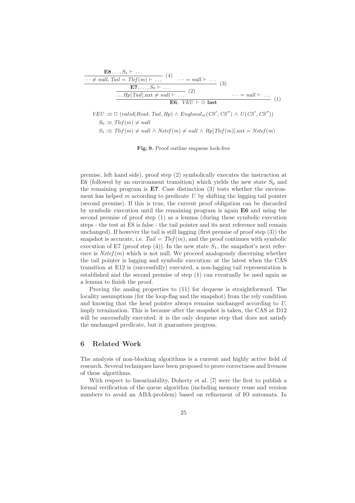$$
\frac{\mathbf{E8} \dots, S_1 \vdash \dots}{\cdots \neq null, \text{Tail} = \text{Tlef}(m) \vdash \dots} \quad (4) \quad \cdots = null \vdash \dots \quad (3)
$$
\n
$$
\frac{\mathbf{E7}, \dots, S_0 \vdash \dots}{\cdots \text{HP}[\text{Tail}].\text{nxt} \neq null \vdash \dots} \quad (2) \quad \cdots = null \vdash \dots \quad (1)
$$
\n
$$
\mathbf{E6}, \text{VEU} \vdash \Diamond \text{ last}
$$

$$
VEU := \Box (valid(Head, Tail, Hyp) \land England_{m}(CS', CS'') \land U(CS', CS''))
$$
  
\n
$$
S_0 := Tleft(m) \neq null
$$
  
\n
$$
S_1 := Tleft(m) \neq null \land Nxtef(m) \neq null \land Hp[Tleft(m)].\text{nxt} = Nxtef(m)
$$

Fig. 9. Proof outline enqueue lock-free

premise, left hand side), proof step (2) symbolically executes the instruction at E6 (followed by an environment transition) which yields the new state  $S_0$  and the remaining program is  $E7$ . Case distinction (3) tests whether the environment has helped  $m$  according to predicate  $U$  by shifting the lagging tail pointer (second premise). If this is true, the current proof obligation can be discarded by symbolic execution until the remaining program is again E6 and using the second premise of proof step (1) as a lemma (during these symbolic execution steps - the test at E8 is false - the tail pointer and its next reference null remain unchanged). If however the tail is still lagging (first premise of proof step (3)) the snapshot is accurate, i.e.  $Tail = Tlef(m)$ , and the proof continues with symbolic execution of E7 (proof step (4)). In the new state  $S_1$ , the snapshot's next reference is  $Nxtef(m)$  which is not null. We proceed analogously discerning whether the tail pointer is lagging and symbolic execution: at the latest when the CAS transition at E12 is (successfully) executed, a non-lagging tail representation is established and the second premise of step (1) can eventually be used again as a lemma to finish the proof.

Proving the analog properties to (11) for dequeue is straightforward. The locality assumptions (for the loop-flag and the snapshot) from the rely condition and knowing that the head pointer always remains unchanged according to U, imply termination. This is because after the snapshot is taken, the CAS at D12 will be successfully executed: it is the only dequeue step that does not satisfy the unchanged predicate, but it guarantees progress.

#### 6 Related Work

The analysis of non-blocking algorithms is a current and highly active field of research. Several techniques have been proposed to prove correctness and liveness of these algorithms.

With respect to linearizability, Doherty et al. [7] were the first to publish a formal verification of the queue algorithm (including memory reuse and version numbers to avoid an ABA-problem) based on refinement of IO automata. In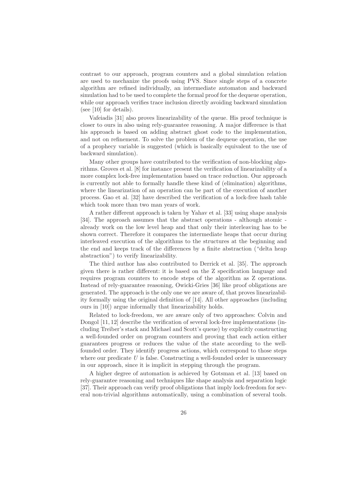contrast to our approach, program counters and a global simulation relation are used to mechanize the proofs using PVS. Since single steps of a concrete algorithm are refined individually, an intermediate automaton and backward simulation had to be used to complete the formal proof for the dequeue operation, while our approach verifies trace inclusion directly avoiding backward simulation (see [10] for details).

Vafeiadis [31] also proves linearizability of the queue. His proof technique is closer to ours in also using rely-guarantee reasoning. A major difference is that his approach is based on adding abstract ghost code to the implementation, and not on refinement. To solve the problem of the dequeue operation, the use of a prophecy variable is suggested (which is basically equivalent to the use of backward simulation).

Many other groups have contributed to the verification of non-blocking algorithms. Groves et al. [8] for instance present the verification of linearizability of a more complex lock-free implementation based on trace reduction. Our approach is currently not able to formally handle these kind of (elimination) algorithms, where the linearization of an operation can be part of the execution of another process. Gao et al. [32] have described the verification of a lock-free hash table which took more than two man years of work.

A rather different approach is taken by Yahav et al. [33] using shape analysis [34]. The approach assumes that the abstract operations - although atomic already work on the low level heap and that only their interleaving has to be shown correct. Therefore it compares the intermediate heaps that occur during interleaved execution of the algorithms to the structures at the beginning and the end and keeps track of the differences by a finite abstraction ("delta heap abstraction") to verify linearizability.

The third author has also contributed to Derrick et al. [35]. The approach given there is rather different: it is based on the Z specification language and requires program counters to encode steps of the algorithm as Z operations. Instead of rely-guarantee reasoning, Owicki-Gries [36] like proof obligations are generated. The approach is the only one we are aware of, that proves linearizability formally using the original definition of [14]. All other approaches (including ours in [10]) argue informally that linearizability holds.

Related to lock-freedom, we are aware only of two approaches: Colvin and Dongol [11, 12] describe the verification of several lock-free implementations (including Treiber's stack and Michael and Scott's queue) by explicitly constructing a well-founded order on program counters and proving that each action either guarantees progress or reduces the value of the state according to the wellfounded order. They identify progress actions, which correspond to those steps where our predicate  $U$  is false. Constructing a well-founded order is unnecessary in our approach, since it is implicit in stepping through the program.

A higher degree of automation is achieved by Gotsman et al. [13] based on rely-guarantee reasoning and techniques like shape analysis and separation logic [37]. Their approach can verify proof obligations that imply lock-freedom for several non-trivial algorithms automatically, using a combination of several tools.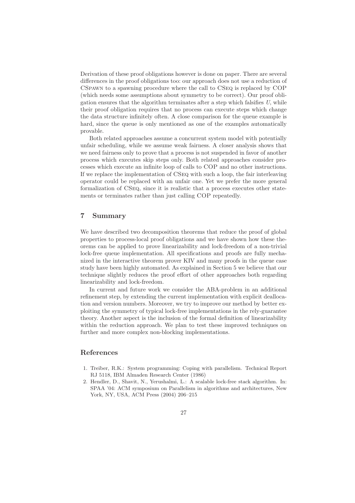Derivation of these proof obligations however is done on paper. There are several differences in the proof obligations too: our approach does not use a reduction of CSpawn to a spawning procedure where the call to CSeq is replaced by COP (which needs some assumptions about symmetry to be correct). Our proof obligation ensures that the algorithm terminates after a step which falsifies  $U$ , while their proof obligation requires that no process can execute steps which change the data structure infinitely often. A close comparison for the queue example is hard, since the queue is only mentioned as one of the examples automatically provable.

Both related approaches assume a concurrent system model with potentially unfair scheduling, while we assume weak fairness. A closer analysis shows that we need fairness only to prove that a process is not suspended in favor of another process which executes skip steps only. Both related approaches consider processes which execute an infinite loop of calls to COP and no other instructions. If we replace the implementation of CSeq with such a loop, the fair interleaving operator could be replaced with an unfair one. Yet we prefer the more general formalization of CSeq, since it is realistic that a process executes other statements or terminates rather than just calling COP repeatedly.

#### 7 Summary

We have described two decomposition theorems that reduce the proof of global properties to process-local proof obligations and we have shown how these theorems can be applied to prove linearizability and lock-freedom of a non-trivial lock-free queue implementation. All specifications and proofs are fully mechanized in the interactive theorem prover KIV and many proofs in the queue case study have been highly automated. As explained in Section 5 we believe that our technique slightly reduces the proof effort of other approaches both regarding linearizability and lock-freedom.

In current and future work we consider the ABA-problem in an additional refinement step, by extending the current implementation with explicit deallocation and version numbers. Moreover, we try to improve our method by better exploiting the symmetry of typical lock-free implementations in the rely-guarantee theory. Another aspect is the inclusion of the formal definition of linearizability within the reduction approach. We plan to test these improved techniques on further and more complex non-blocking implementations.

#### References

- 1. Treiber, R.K.: System programming: Coping with parallelism. Technical Report RJ 5118, IBM Almaden Research Center (1986)
- 2. Hendler, D., Shavit, N., Yerushalmi, L.: A scalable lock-free stack algorithm. In: SPAA '04: ACM symposium on Parallelism in algorithms and architectures, New York, NY, USA, ACM Press (2004) 206–215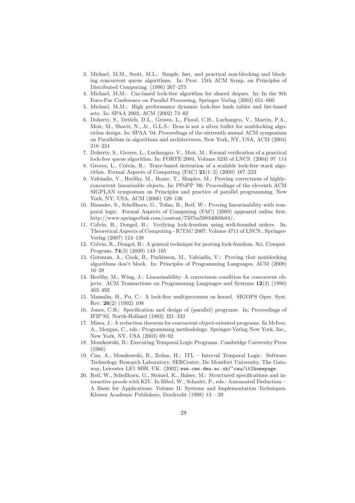- 3. Michael, M.M., Scott, M.L.: Simple, fast, and practical non-blocking and blocking concurrent queue algorithms. In: Proc. 15th ACM Symp. on Principles of Distributed Computing. (1996) 267–275
- 4. Michael, M.M.: Cas-based lock-free algorithm for shared deques. In: In the 9th Euro-Par Conference on Parallel Processing, Springer Verlag (2003) 651–660
- 5. Michael, M.M.: High performance dynamic lock-free hash tables and list-based sets. In: SPAA 2002, ACM (2002) 73–82
- 6. Doherty, S., Detlefs, D.L., Groves, L., Flood, C.H., Luchangco, V., Martin, P.A., Moir, M., Shavit, N., Jr., G.L.S.: Dcas is not a silver bullet for nonblocking algorithm design. In: SPAA '04: Proceedings of the sixteenth annual ACM symposium on Parallelism in algorithms and architectures, New York, NY, USA, ACM (2004) 216–224
- 7. Doherty, S., Groves, L., Luchangco, V., Moir, M.: Formal verification of a practical lock-free queue algorithm. In: FORTE 2004. Volume 3235 of LNCS. (2004) 97–114
- 8. Groves, L., Colvin, R.: Trace-based derivation of a scalable lock-free stack algorithm. Formal Aspects of Computing (FAC)  $21(1-2)$  (2009) 187-223
- 9. Vafeiadis, V., Herlihy, M., Hoare, T., Shapiro, M.: Proving correctness of highlyconcurrent linearisable objects. In: PPoPP '06: Proceedings of the eleventh ACM SIGPLAN symposium on Principles and practice of parallel programming, New York, NY, USA, ACM (2006) 129–136
- 10. Bäumler, S., Schellhorn, G., Tofan, B., Reif, W.: Proving linearizability with temporal logic. Formal Aspects of Computing (FAC) (2009) appeared online first, http://www.springerlink.com/content/7507m59834066h04/.
- 11. Colvin, R., Dongol, B.: Verifying lock-freedom using well-founded orders. In: Theoretical Aspects of Computing - ICTAC 2007. Volume 4711 of LNCS., Springer-Verlag (2007) 124–138
- 12. Colvin, R., Dongol, B.: A general technique for proving lock-freedom. Sci. Comput. Program. 74(3) (2009) 143–165
- 13. Gotsman, A., Cook, B., Parkinson, M., Vafeiadis, V.: Proving that nonblocking algorithms don't block. In: Principles of Programming Languages, ACM (2009) 16–28
- 14. Herlihy, M., Wing, J.: Linearizability: A correctness condition for concurrent objects. ACM Transactions on Programming Languages and Systems 12(3) (1990) 463–492
- 15. Massalin, H., Pu, C.: A lock-free multiprocessor os kernel. SIGOPS Oper. Syst. Rev. 26(2) (1992) 108
- 16. Jones, C.B.: Specification and design of (parallel) programs. In: Proceedings of IFIP'83, North-Holland (1983) 321–332
- 17. Misra, J.: A reduction theorem for concurrent object-oriented programs. In McIver, A., Morgan, C., eds.: Programming methodology. Springer-Verlag New York, Inc., New York, NY, USA (2003) 69–92
- 18. Moszkowski, B.: Executing Temporal Logic Programs. Cambridge University Press (1986)
- 19. Cau, A., Moszkowski, B., Zedan, H.: ITL Interval Temporal Logic. Software Technology Research Laboratory, SERCentre, De Montfort University, The Gateway, Leicester LE1 9BH, UK. (2002) www.cms.dmu.ac.uk/~cau/itlhomepage.
- 20. Reif, W., Schellhorn, G., Stenzel, K., Balser, M.: Structured specifications and interactive proofs with KIV. In Bibel, W., Schmitt, P., eds.: Automated Deduction— A Basis for Applications. Volume II: Systems and Implementation Techniques. Kluwer Academic Publishers, Dordrecht (1998) 13 – 39